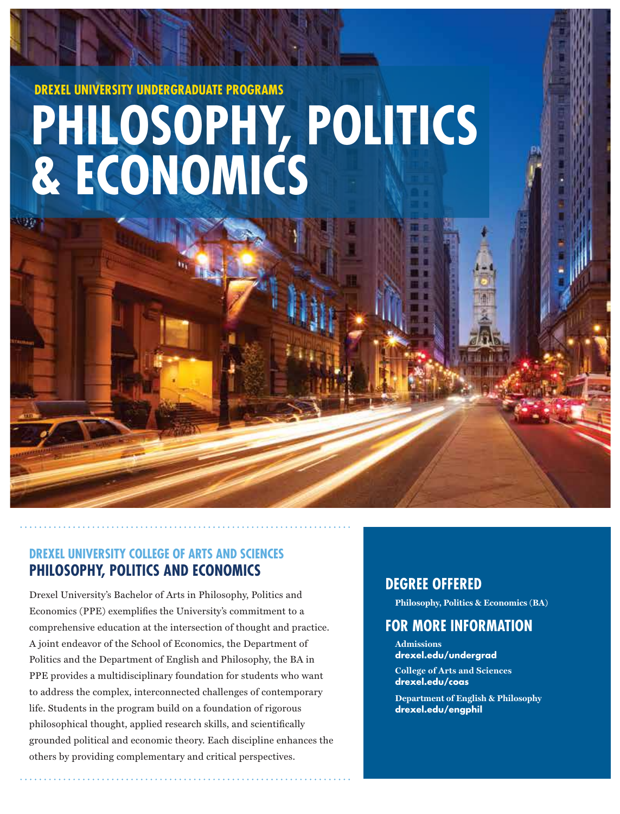# **DREXEL UNIVERSITY UNDERGRADUATE PROGRAMS PHILOSOPHY, POLITICS & ECONOMICS**

# **DREXEL UNIVERSITY COLLEGE OF ARTS AND SCIENCES PHILOSOPHY, POLITICS AND ECONOMICS**

Drexel University's Bachelor of Arts in Philosophy, Politics and Economics (PPE) exemplifies the University's commitment to a comprehensive education at the intersection of thought and practice. A joint endeavor of the School of Economics, the Department of Politics and the Department of English and Philosophy, the BA in PPE provides a multidisciplinary foundation for students who want to address the complex, interconnected challenges of contemporary life. Students in the program build on a foundation of rigorous philosophical thought, applied research skills, and scientifically grounded political and economic theory. Each discipline enhances the others by providing complementary and critical perspectives.

# **DEGREE OFFERED**

**Philosophy, Politics & Economics (BA)**

# **FOR MORE INFORMATION**

**Admissions drexel.edu/undergrad**

**College of Arts and Sciences drexel.edu/coas** 

**Department of English & Philosophy drexel.edu/engphil**